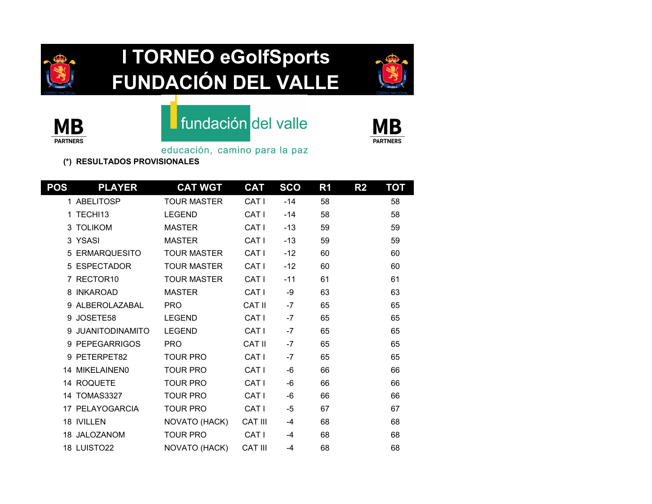

# **I TORNEO eGolfSports FUNDACIÓN DEL VALLE**





### **fundación** del valle



educación, camino para la paz

**(\*) RESULTADOS PROVISIONALES**

| <b>POS</b> | <b>PLAYER</b>          | <b>CAT WGT</b>     | <b>CAT</b>       | <b>SCO</b> | R <sub>1</sub> | R <sub>2</sub> | <b>TOT</b> |
|------------|------------------------|--------------------|------------------|------------|----------------|----------------|------------|
|            | 1 ABELITOSP            | <b>TOUR MASTER</b> | CAT <sub>I</sub> | $-14$      | 58             |                | 58         |
| 1          | TECHI13                | <b>LEGEND</b>      | CAT <sub>I</sub> | $-14$      | 58             |                | 58         |
|            | 3 TOLIKOM              | <b>MASTER</b>      | CAT I            | $-13$      | 59             |                | 59         |
|            | 3 YSASI                | <b>MASTER</b>      | CAT <sub>I</sub> | $-13$      | 59             |                | 59         |
|            | 5 ERMARQUESITO         | <b>TOUR MASTER</b> | CAT <sub>I</sub> | $-12$      | 60             |                | 60         |
|            | 5 ESPECTADOR           | <b>TOUR MASTER</b> | CAT I            | $-12$      | 60             |                | 60         |
|            | 7 RECTOR10             | <b>TOUR MASTER</b> | CAT <sub>I</sub> | $-11$      | 61             |                | 61         |
| 8          | <b>INKAROAD</b>        | <b>MASTER</b>      | CAT <sub>I</sub> | -9         | 63             |                | 63         |
|            | 9 ALBEROLAZABAL        | <b>PRO</b>         | <b>CAT II</b>    | $-7$       | 65             |                | 65         |
| 9          | JOSETE58               | <b>LEGEND</b>      | CAT I            | $-7$       | 65             |                | 65         |
| 9          | <b>JUANITODINAMITO</b> | <b>LEGEND</b>      | CAT I            | $-7$       | 65             |                | 65         |
|            | 9 PEPEGARRIGOS         | <b>PRO</b>         | <b>CAT II</b>    | $-7$       | 65             |                | 65         |
|            | 9 PETERPET82           | <b>TOUR PRO</b>    | CAT I            | $-7$       | 65             |                | 65         |
|            | 14 MIKELAINEN0         | <b>TOUR PRO</b>    | CAT <sub>I</sub> | $-6$       | 66             |                | 66         |
|            | 14 ROQUETE             | <b>TOUR PRO</b>    | CAT I            | $-6$       | 66             |                | 66         |
|            | 14 TOMAS3327           | <b>TOUR PRO</b>    | CAT <sub>I</sub> | $-6$       | 66             |                | 66         |
|            | 17 PELAYOGARCIA        | <b>TOUR PRO</b>    | CAT <sub>I</sub> | $-5$       | 67             |                | 67         |
|            | <b>18 IVILLEN</b>      | NOVATO (HACK)      | <b>CAT III</b>   | $-4$       | 68             |                | 68         |
|            | 18 JALOZANOM           | <b>TOUR PRO</b>    | CAT I            | $-4$       | 68             |                | 68         |
|            | 18 LUISTO22            | NOVATO (HACK)      | <b>CAT III</b>   | $-4$       | 68             |                | 68         |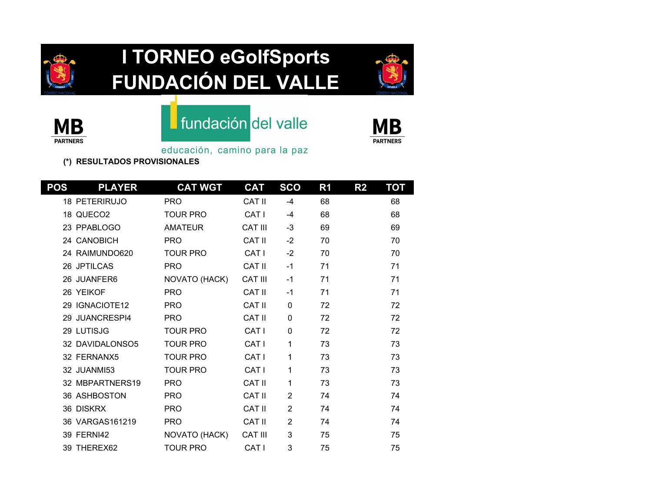

# **I TORNEO eGolfSports FUNDACIÓN DEL VALLE**





### **fundación** del valle



educación, camino para la paz

**(\*) RESULTADOS PROVISIONALES**

| <b>POS</b> | <b>PLAYER</b>        | <b>CAT WGT</b>  | <b>CAT</b>       | <b>SCO</b>     | R <sub>1</sub> | R <sub>2</sub> | <b>TOT</b> |
|------------|----------------------|-----------------|------------------|----------------|----------------|----------------|------------|
|            | <b>18 PETERIRUJO</b> | <b>PRO</b>      | <b>CAT II</b>    | $-4$           | 68             |                | 68         |
|            | 18 QUECO2            | <b>TOUR PRO</b> | CAT <sub>I</sub> | $-4$           | 68             |                | 68         |
|            | 23 PPABLOGO          | <b>AMATEUR</b>  | <b>CAT III</b>   | $-3$           | 69             |                | 69         |
|            | 24 CANOBICH          | <b>PRO</b>      | <b>CAT II</b>    | $-2$           | 70             |                | 70         |
|            | 24 RAIMUNDO620       | <b>TOUR PRO</b> | CAT <sub>I</sub> | $-2$           | 70             |                | 70         |
|            | 26 JPTILCAS          | <b>PRO</b>      | <b>CAT II</b>    | $-1$           | 71             |                | 71         |
|            | 26 JUANFER6          | NOVATO (HACK)   | <b>CAT III</b>   | $-1$           | 71             |                | 71         |
|            | 26 YEIKOF            | <b>PRO</b>      | CAT II           | $-1$           | 71             |                | 71         |
|            | 29 IGNACIOTE12       | <b>PRO</b>      | <b>CAT II</b>    | 0              | 72             |                | 72         |
|            | 29 JUANCRESPI4       | <b>PRO</b>      | <b>CAT II</b>    | 0              | 72             |                | 72         |
|            | 29 LUTISJG           | <b>TOUR PRO</b> | CAT I            | $\mathbf 0$    | 72             |                | 72         |
|            | 32 DAVIDALONSO5      | <b>TOUR PRO</b> | CAT <sub>I</sub> | 1              | 73             |                | 73         |
|            | 32 FERNANX5          | <b>TOUR PRO</b> | CAT <sub>I</sub> | 1              | 73             |                | 73         |
|            | 32 JUANMI53          | <b>TOUR PRO</b> | CAT <sub>I</sub> | 1              | 73             |                | 73         |
|            | 32 MBPARTNERS19      | <b>PRO</b>      | <b>CAT II</b>    | 1              | 73             |                | 73         |
|            | 36 ASHBOSTON         | <b>PRO</b>      | CAT II           | $\overline{2}$ | 74             |                | 74         |
|            | 36 DISKRX            | <b>PRO</b>      | <b>CAT II</b>    | $\overline{2}$ | 74             |                | 74         |
|            | 36 VARGAS161219      | <b>PRO</b>      | CAT II           | $\overline{2}$ | 74             |                | 74         |
|            | <b>39 FERNI42</b>    | NOVATO (HACK)   | <b>CAT III</b>   | 3              | 75             |                | 75         |
|            | 39 THEREX62          | <b>TOUR PRO</b> | CAT I            | 3              | 75             |                | 75         |